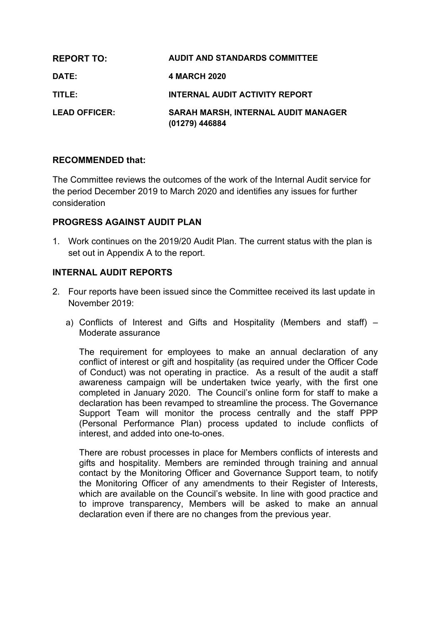| <b>REPORT TO:</b>    | <b>AUDIT AND STANDARDS COMMITTEE</b>                         |
|----------------------|--------------------------------------------------------------|
| <b>DATE:</b>         | <b>4 MARCH 2020</b>                                          |
| TITLE:               | <b>INTERNAL AUDIT ACTIVITY REPORT</b>                        |
| <b>LEAD OFFICER:</b> | <b>SARAH MARSH, INTERNAL AUDIT MANAGER</b><br>(01279) 446884 |

#### **RECOMMENDED that:**

The Committee reviews the outcomes of the work of the Internal Audit service for the period December 2019 to March 2020 and identifies any issues for further consideration

#### **PROGRESS AGAINST AUDIT PLAN**

1. Work continues on the 2019/20 Audit Plan. The current status with the plan is set out in Appendix A to the report.

#### **INTERNAL AUDIT REPORTS**

- 2. Four reports have been issued since the Committee received its last update in November 2019:
	- a) Conflicts of Interest and Gifts and Hospitality (Members and staff) Moderate assurance

The requirement for employees to make an annual declaration of any conflict of interest or gift and hospitality (as required under the Officer Code of Conduct) was not operating in practice. As a result of the audit a staff awareness campaign will be undertaken twice yearly, with the first one completed in January 2020. The Council's online form for staff to make a declaration has been revamped to streamline the process. The Governance Support Team will monitor the process centrally and the staff PPP (Personal Performance Plan) process updated to include conflicts of interest, and added into one-to-ones.

There are robust processes in place for Members conflicts of interests and gifts and hospitality. Members are reminded through training and annual contact by the Monitoring Officer and Governance Support team, to notify the Monitoring Officer of any amendments to their Register of Interests, which are available on the Council's website. In line with good practice and to improve transparency, Members will be asked to make an annual declaration even if there are no changes from the previous year.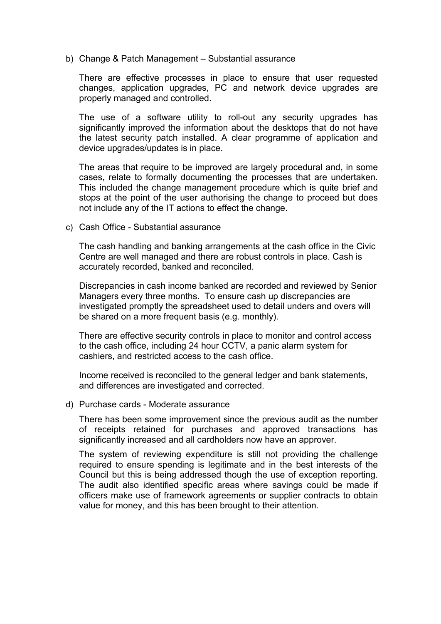b) Change & Patch Management – Substantial assurance

There are effective processes in place to ensure that user requested changes, application upgrades, PC and network device upgrades are properly managed and controlled.

The use of a software utility to roll-out any security upgrades has significantly improved the information about the desktops that do not have the latest security patch installed. A clear programme of application and device upgrades/updates is in place.

The areas that require to be improved are largely procedural and, in some cases, relate to formally documenting the processes that are undertaken. This included the change management procedure which is quite brief and stops at the point of the user authorising the change to proceed but does not include any of the IT actions to effect the change.

c) Cash Office - Substantial assurance

The cash handling and banking arrangements at the cash office in the Civic Centre are well managed and there are robust controls in place. Cash is accurately recorded, banked and reconciled.

Discrepancies in cash income banked are recorded and reviewed by Senior Managers every three months. To ensure cash up discrepancies are investigated promptly the spreadsheet used to detail unders and overs will be shared on a more frequent basis (e.g. monthly).

There are effective security controls in place to monitor and control access to the cash office, including 24 hour CCTV, a panic alarm system for cashiers, and restricted access to the cash office.

Income received is reconciled to the general ledger and bank statements, and differences are investigated and corrected.

d) Purchase cards - Moderate assurance

There has been some improvement since the previous audit as the number of receipts retained for purchases and approved transactions has significantly increased and all cardholders now have an approver.

The system of reviewing expenditure is still not providing the challenge required to ensure spending is legitimate and in the best interests of the Council but this is being addressed though the use of exception reporting. The audit also identified specific areas where savings could be made if officers make use of framework agreements or supplier contracts to obtain value for money, and this has been brought to their attention.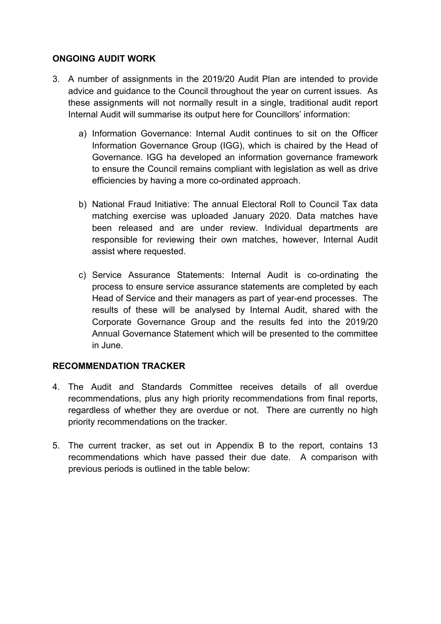### **ONGOING AUDIT WORK**

- 3. A number of assignments in the 2019/20 Audit Plan are intended to provide advice and guidance to the Council throughout the year on current issues. As these assignments will not normally result in a single, traditional audit report Internal Audit will summarise its output here for Councillors' information:
	- a) Information Governance: Internal Audit continues to sit on the Officer Information Governance Group (IGG), which is chaired by the Head of Governance. IGG ha developed an information governance framework to ensure the Council remains compliant with legislation as well as drive efficiencies by having a more co-ordinated approach.
	- b) National Fraud Initiative: The annual Electoral Roll to Council Tax data matching exercise was uploaded January 2020. Data matches have been released and are under review. Individual departments are responsible for reviewing their own matches, however, Internal Audit assist where requested.
	- c) Service Assurance Statements: Internal Audit is co-ordinating the process to ensure service assurance statements are completed by each Head of Service and their managers as part of year-end processes. The results of these will be analysed by Internal Audit, shared with the Corporate Governance Group and the results fed into the 2019/20 Annual Governance Statement which will be presented to the committee in June.

### **RECOMMENDATION TRACKER**

- 4. The Audit and Standards Committee receives details of all overdue recommendations, plus any high priority recommendations from final reports, regardless of whether they are overdue or not. There are currently no high priority recommendations on the tracker.
- 5. The current tracker, as set out in Appendix B to the report, contains 13 recommendations which have passed their due date. A comparison with previous periods is outlined in the table below: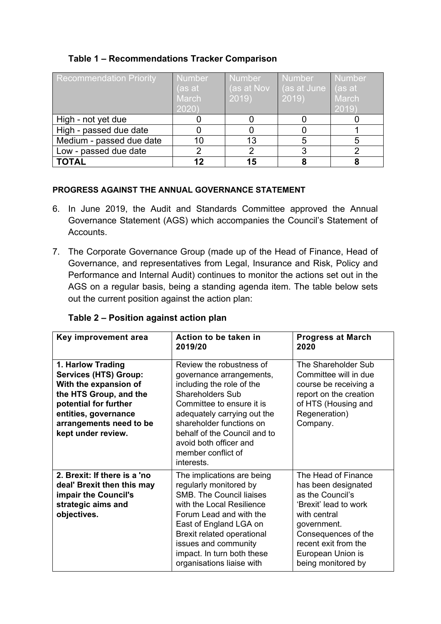## **Table 1 – Recommendations Tracker Comparison**

| <b>Recommendation Priority</b> | <b>Number</b><br>(as at<br><b>March</b><br>2020) | <b>Number</b><br>$\sqrt{a}$ s at Nov<br>2019 | <b>Number</b><br>(as at June ) (as at<br>2019) | <b>Number</b><br>March<br>2019 |
|--------------------------------|--------------------------------------------------|----------------------------------------------|------------------------------------------------|--------------------------------|
| High - not yet due             |                                                  |                                              |                                                |                                |
| High - passed due date         |                                                  |                                              |                                                |                                |
| Medium - passed due date       |                                                  | 13                                           | 5                                              |                                |
| Low - passed due date          |                                                  |                                              |                                                |                                |
| <b>TOTAL</b>                   | 19                                               |                                              |                                                |                                |

#### **PROGRESS AGAINST THE ANNUAL GOVERNANCE STATEMENT**

- 6. In June 2019, the Audit and Standards Committee approved the Annual Governance Statement (AGS) which accompanies the Council's Statement of Accounts.
- 7. The Corporate Governance Group (made up of the Head of Finance, Head of Governance, and representatives from Legal, Insurance and Risk, Policy and Performance and Internal Audit) continues to monitor the actions set out in the AGS on a regular basis, being a standing agenda item. The table below sets out the current position against the action plan:

### **Table 2 – Position against action plan**

| Key improvement area                                                                                                                                                                                   | Action to be taken in<br>2019/20                                                                                                                                                                                                                                                                   | <b>Progress at March</b><br>2020                                                                                                                                                                                 |
|--------------------------------------------------------------------------------------------------------------------------------------------------------------------------------------------------------|----------------------------------------------------------------------------------------------------------------------------------------------------------------------------------------------------------------------------------------------------------------------------------------------------|------------------------------------------------------------------------------------------------------------------------------------------------------------------------------------------------------------------|
| 1. Harlow Trading<br><b>Services (HTS) Group:</b><br>With the expansion of<br>the HTS Group, and the<br>potential for further<br>entities, governance<br>arrangements need to be<br>kept under review. | Review the robustness of<br>governance arrangements,<br>including the role of the<br><b>Shareholders Sub</b><br>Committee to ensure it is<br>adequately carrying out the<br>shareholder functions on<br>behalf of the Council and to<br>avoid both officer and<br>member conflict of<br>interests. | The Shareholder Sub<br>Committee will in due<br>course be receiving a<br>report on the creation<br>of HTS (Housing and<br>Regeneration)<br>Company.                                                              |
| 2. Brexit: If there is a 'no<br>deal' Brexit then this may<br>impair the Council's<br>strategic aims and<br>objectives.                                                                                | The implications are being<br>regularly monitored by<br><b>SMB. The Council liaises</b><br>with the Local Resilience<br>Forum Lead and with the<br>East of England LGA on<br>Brexit related operational<br>issues and community<br>impact. In turn both these<br>organisations liaise with         | The Head of Finance<br>has been designated<br>as the Council's<br>'Brexit' lead to work<br>with central<br>government.<br>Consequences of the<br>recent exit from the<br>European Union is<br>being monitored by |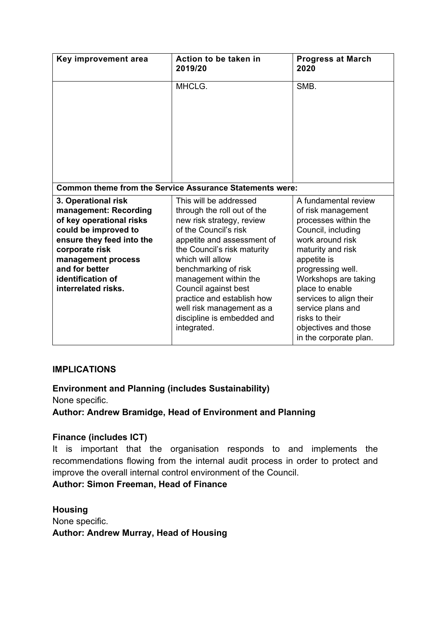| Key improvement area                                                                                                                                                                                                                | Action to be taken in<br>2019/20                                                                                                                                                                                                                                                                                                                                                                                                                                                                                                                                                                                                                                                                                      | <b>Progress at March</b><br>2020 |
|-------------------------------------------------------------------------------------------------------------------------------------------------------------------------------------------------------------------------------------|-----------------------------------------------------------------------------------------------------------------------------------------------------------------------------------------------------------------------------------------------------------------------------------------------------------------------------------------------------------------------------------------------------------------------------------------------------------------------------------------------------------------------------------------------------------------------------------------------------------------------------------------------------------------------------------------------------------------------|----------------------------------|
|                                                                                                                                                                                                                                     | MHCLG.                                                                                                                                                                                                                                                                                                                                                                                                                                                                                                                                                                                                                                                                                                                | SMB.                             |
|                                                                                                                                                                                                                                     | <b>Common theme from the Service Assurance Statements were:</b>                                                                                                                                                                                                                                                                                                                                                                                                                                                                                                                                                                                                                                                       |                                  |
| 3. Operational risk<br>management: Recording<br>of key operational risks<br>could be improved to<br>ensure they feed into the<br>corporate risk<br>management process<br>and for better<br>identification of<br>interrelated risks. | This will be addressed<br>A fundamental review<br>through the roll out of the<br>of risk management<br>new risk strategy, review<br>processes within the<br>of the Council's risk<br>Council, including<br>work around risk<br>appetite and assessment of<br>the Council's risk maturity<br>maturity and risk<br>which will allow<br>appetite is<br>progressing well.<br>benchmarking of risk<br>Workshops are taking<br>management within the<br>Council against best<br>place to enable<br>practice and establish how<br>services to align their<br>service plans and<br>well risk management as a<br>discipline is embedded and<br>risks to their<br>integrated.<br>objectives and those<br>in the corporate plan. |                                  |

### **IMPLICATIONS**

**Environment and Planning (includes Sustainability)** None specific.

**Author: Andrew Bramidge, Head of Environment and Planning**

### **Finance (includes ICT)**

It is important that the organisation responds to and implements the recommendations flowing from the internal audit process in order to protect and improve the overall internal control environment of the Council.

**Author: Simon Freeman, Head of Finance**

**Housing** None specific. **Author: Andrew Murray, Head of Housing**